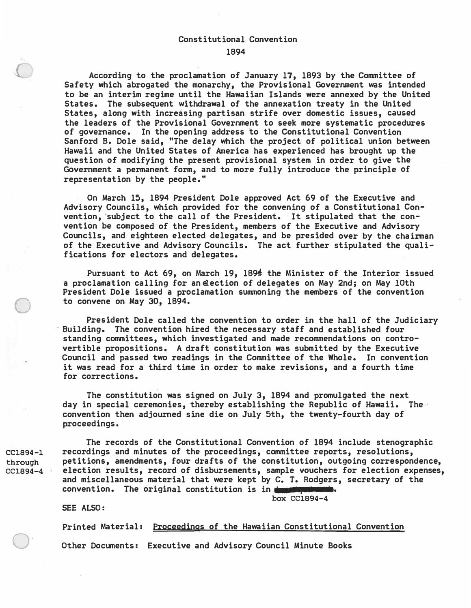## Constitutional Convention

1894

According to the proclamation of January 17, 1893 by the Committee of Safety which abrogated the monarchy, the Provisional Government was intended to be an interim regime until the Hawaiian Islands were annexed by the United States. The subsequent withdrawal of the annexation treaty in the United States, along with increasing partisan strife over domestic issues, caused the leaders of the Provisional Government to seek more systematic procedures of governance. In the opening address to the Constitutional Convention Sanford B. Dole said, "The delay which the project of political union between Hawaii and the United States of America has experienced has brought up the question of modifying the present provisional system in order to give the Government a permanent form, and to more fully introduce the principle of representation by the people."

On March 15, 1894 President Dole approved Act 69 of the Executive and Advisory Councils, which provided for the convening of a Constitutional Convention, subject to the call of the President. It stipulated that the convention be composed of the President, members of the Executive and Advisory Councils, and eighteen elected delegates, and be presided over by the chairman of the Executive and Advisory Councils. The act further stipulated the qualifications for electors and delegates.

Pursuant to Act 69, on March 19, 1894. the Minister of the Interior issued a proclamation calling for an election of delegates on May 2nd; on May 10th President Dole issued a proclamation summoning the members of the convention to convene on May 30, 1894.

President Dole called the convention to order in the hall of the Judiciary Building. The convention hired the necessary staff and established four standing committees, which investigated and made recommendations on controvertible propositions. A draft constitution was submitted by the Executive Council and passed two readings in the Committee of the Whole. In convention it was read for a third time in order to make revisions, and a fourth time for corrections.

The constitution was signed on July 3, 1894 and promulgated the next day in special ceremonies, thereby establishing the Republic of Hawaii. The convention then adjourned sine die on July 5th, the twenty-fourth day of proceedings.

The records of the Constitutional Convention of 1894 include stenographic recordings and minutes of the proceedings, committee reports, resolutions, petitions, amendments, four drafts of the constitution, outgoing correspondence, election results, record of disbursements, sample vouchers for election expenses, and miscellaneous material that were kept by C. T. Rodgers, secretary of the convention. The original constitution is in  $\blacksquare$ 

box CC1894-4

**SEE** ALSO:

Printed Material: Proceedings of the Hawaiian Constitutional Convention

Other Documents: Executive and Advisory Council Minute Books

CC1894-l **through**  CC1894-4

 $\bigcirc$